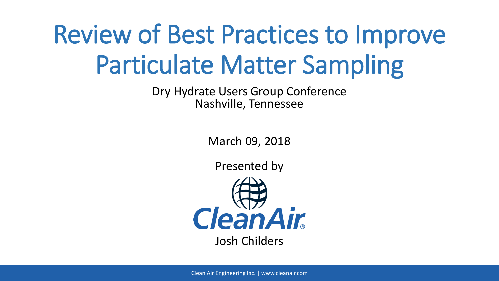# Review of Best Practices to Improve Particulate Matter Sampling

Dry Hydrate Users Group Conference Nashville, Tennessee

March 09, 2018

Presented by

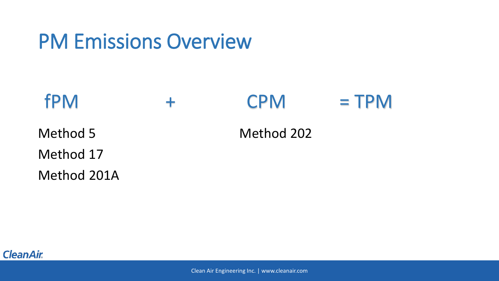#### PM Emissions Overview

#### $fPM$  +  $CPM$  = TPM

Method 5

Method 17

Method 201A

Method 202

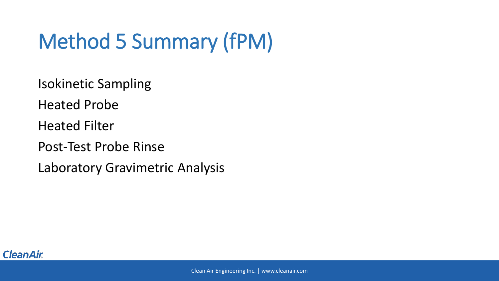### Method 5 Summary (fPM)

Isokinetic Sampling

Heated Probe

Heated Filter

Post-Test Probe Rinse

Laboratory Gravimetric Analysis

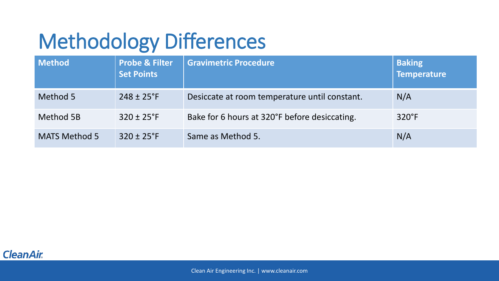## Methodology Differences

| <b>Method</b>        | <b>Probe &amp; Filter</b><br><b>Set Points</b> | <b>Gravimetric Procedure</b>                  | <b>Baking</b><br>Temperature |
|----------------------|------------------------------------------------|-----------------------------------------------|------------------------------|
| Method 5             | $248 \pm 25$ °F                                | Desiccate at room temperature until constant. | N/A                          |
| Method 5B            | $320 \pm 25$ °F                                | Bake for 6 hours at 320°F before desiccating. | $320^\circ F$                |
| <b>MATS Method 5</b> | $320 \pm 25$ °F                                | Same as Method 5.                             | N/A                          |

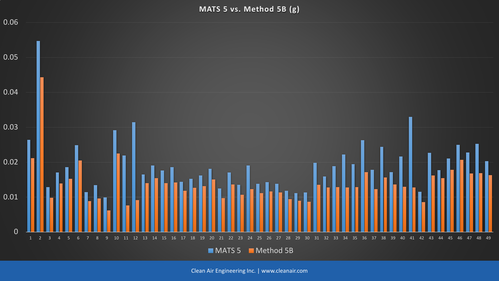**MATS 5 vs. Method 5B (g)**

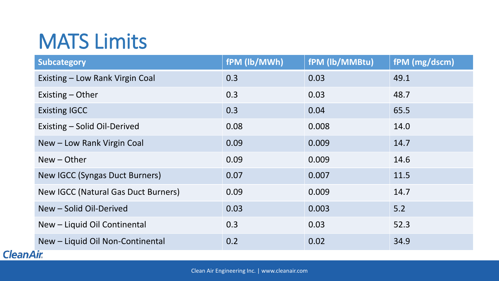#### MATS Limits

| <b>Subcategory</b>                    | fPM (lb/MWh) | fPM (lb/MMBtu) | fPM (mg/dscm) |
|---------------------------------------|--------------|----------------|---------------|
| Existing - Low Rank Virgin Coal       | 0.3          | 0.03           | 49.1          |
| Existing - Other                      | 0.3          | 0.03           | 48.7          |
| <b>Existing IGCC</b>                  | 0.3          | 0.04           | 65.5          |
| Existing - Solid Oil-Derived          | 0.08         | 0.008          | 14.0          |
| New - Low Rank Virgin Coal            | 0.09         | 0.009          | 14.7          |
| $New - Other$                         | 0.09         | 0.009          | 14.6          |
| <b>New IGCC (Syngas Duct Burners)</b> | 0.07         | 0.007          | 11.5          |
| New IGCC (Natural Gas Duct Burners)   | 0.09         | 0.009          | 14.7          |
| New - Solid Oil-Derived               | 0.03         | 0.003          | 5.2           |
| New - Liquid Oil Continental          | 0.3          | 0.03           | 52.3          |
| New - Liquid Oil Non-Continental      | 0.2          | 0.02           | 34.9          |
| <b>CleanAir</b>                       |              |                |               |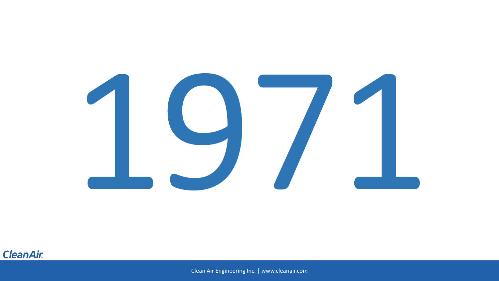

#### **CleanAir.**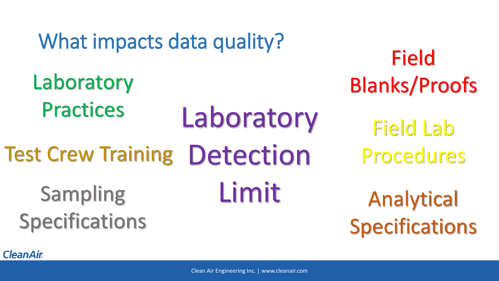#### What impacts data quality?

Laboratory Detection Limit **Laboratory Practices** Test Crew Training Sampling Specifications

Field Lab Procedures Field Blanks/Proofs

Analytical Specifications

**CleanAir.**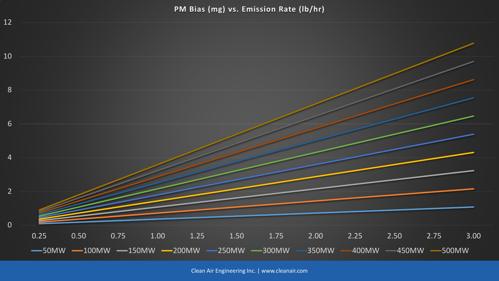**PM Bias (mg) vs. Emission Rate (lb/hr)**

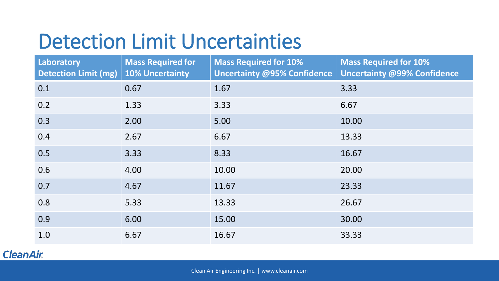#### Detection Limit Uncertainties

| Laboratory<br><b>Detection Limit (mg)</b> | <b>Mass Required for</b><br><b>10% Uncertainty</b> | <b>Mass Required for 10%</b><br><b>Uncertainty @95% Confidence</b> | <b>Mass Required for 10%</b><br><b>Uncertainty @99% Confidence</b> |
|-------------------------------------------|----------------------------------------------------|--------------------------------------------------------------------|--------------------------------------------------------------------|
| 0.1                                       | 0.67                                               | 1.67                                                               | 3.33                                                               |
| 0.2                                       | 1.33                                               | 3.33                                                               | 6.67                                                               |
| 0.3                                       | 2.00                                               | 5.00                                                               | 10.00                                                              |
| 0.4                                       | 2.67                                               | 6.67                                                               | 13.33                                                              |
| 0.5                                       | 3.33                                               | 8.33                                                               | 16.67                                                              |
| 0.6                                       | 4.00                                               | 10.00                                                              | 20.00                                                              |
| 0.7                                       | 4.67                                               | 11.67                                                              | 23.33                                                              |
| 0.8                                       | 5.33                                               | 13.33                                                              | 26.67                                                              |
| 0.9                                       | 6.00                                               | 15.00                                                              | 30.00                                                              |
| 1.0                                       | 6.67                                               | 16.67                                                              | 33.33                                                              |

#### **CleanAir.**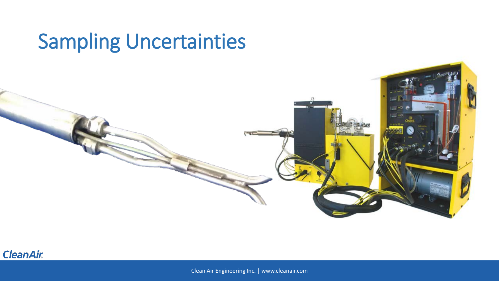#### Sampling Uncertainties

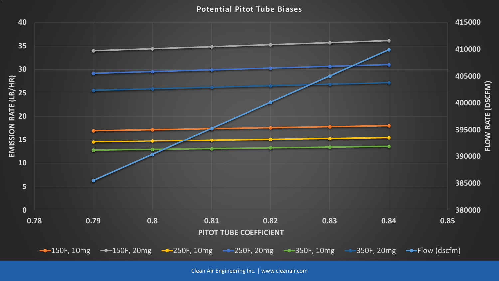**Potential Pitot Tube Biases**

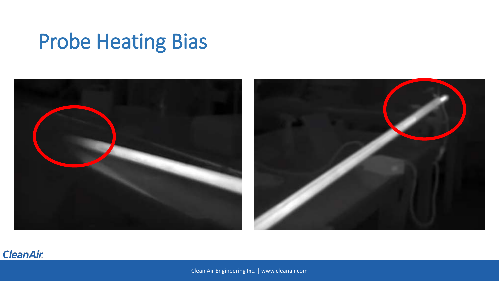### Probe Heating Bias



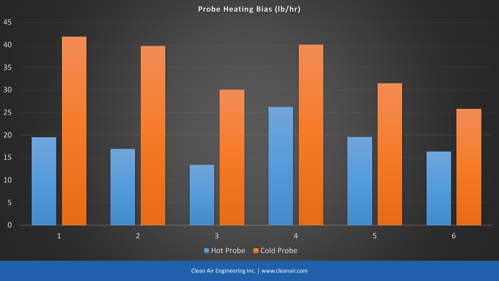**Probe Heating Bias (lb/hr)**

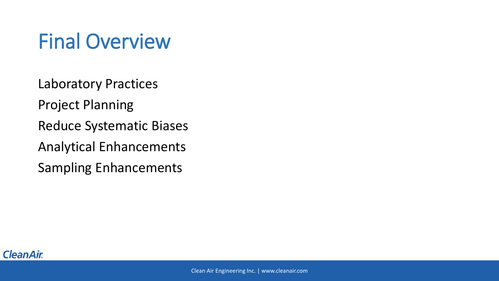### Final Overview

Laboratory Practices

Project Planning

Reduce Systematic Biases

Analytical Enhancements

Sampling Enhancements